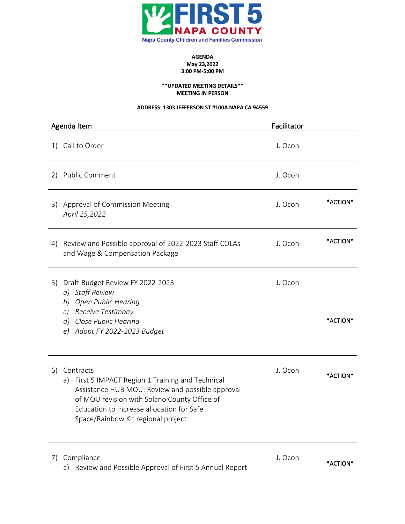

## **AGENDA May 23,2022 3:00 PM-5:00 PM**

#### **\*\*UPDATED MEETING DETAILS\*\* MEETING IN PERSON**

## **ADDRESS: 1303 JEFFERSON ST #100A NAPA CA 94559**

| Agenda Item                                                                                                                                                                                                                                                    | Facilitator |          |
|----------------------------------------------------------------------------------------------------------------------------------------------------------------------------------------------------------------------------------------------------------------|-------------|----------|
| Call to Order<br>1)                                                                                                                                                                                                                                            | J. Ocon     |          |
| <b>Public Comment</b><br>2)                                                                                                                                                                                                                                    | J. Ocon     |          |
| Approval of Commission Meeting<br>3)<br>April 25,2022                                                                                                                                                                                                          | J. Ocon     | *ACTION* |
| Review and Possible approval of 2022-2023 Staff COLAs<br>4)<br>and Wage & Compensation Package                                                                                                                                                                 | J. Ocon     | *ACTION* |
| Draft Budget Review FY 2022-2023<br>5)<br><b>Staff Review</b><br>a)<br><b>Open Public Hearing</b><br>b)<br>Receive Testimony<br>$\mathcal{C}$ )<br>Close Public Hearing<br>d)<br>Adopt FY 2022-2023 Budget<br>e)                                               | J. Ocon     | *ACTION* |
| Contracts<br>6)<br>First 5 IMPACT Region 1 Training and Technical<br>a)<br>Assistance HUB MOU: Review and possible approval<br>of MOU revision with Solano County Office of<br>Education to increase allocation for Safe<br>Space/Rainbow Kit regional project | J. Ocon     | *ACTION* |
| Compliance<br>7)<br>Review and Possible Approval of First 5 Annual Report<br>a)                                                                                                                                                                                | J. Ocon     | *ACTION* |